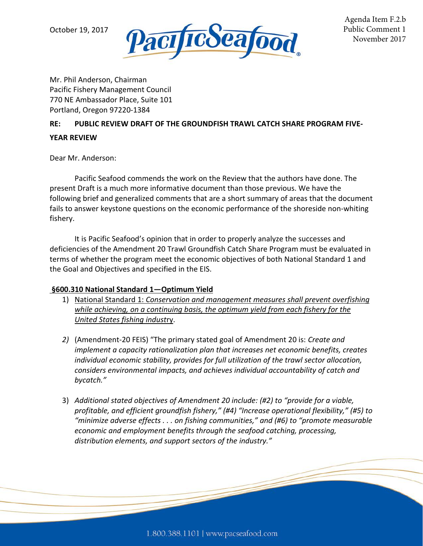

Mr. Phil Anderson, Chairman Pacific Fishery Management Council 770 NE Ambassador Place, Suite 101 Portland, Oregon 97220-1384

## **RE: PUBLIC REVIEW DRAFT OF THE GROUNDFISH TRAWL CATCH SHARE PROGRAM FIVE-**

## **YEAR REVIEW**

Dear Mr. Anderson:

Pacific Seafood commends the work on the Review that the authors have done. The present Draft is a much more informative document than those previous. We have the following brief and generalized comments that are a short summary of areas that the document fails to answer keystone questions on the economic performance of the shoreside non-whiting fishery.

It is Pacific Seafood's opinion that in order to properly analyze the successes and deficiencies of the Amendment 20 Trawl Groundfish Catch Share Program must be evaluated in terms of whether the program meet the economic objectives of both National Standard 1 and the Goal and Objectives and specified in the EIS.

## **§600.310 National Standard 1—Optimum Yield**

- 1) National Standard 1: *Conservation and management measures shall prevent overfishing while achieving, on a continuing basis, the optimum yield from each fishery for the United States fishing indust*ry.
- *2)* (Amendment-20 FEIS) "The primary stated goal of Amendment 20 is: *Create and implement a capacity rationalization plan that increases net economic benefits, creates individual economic stability, provides for full utilization of the trawl sector allocation, considers environmental impacts, and achieves individual accountability of catch and bycatch."*
- 3) *Additional stated objectives of Amendment 20 include: (#2) to "provide for a viable, profitable, and efficient groundfish fishery," (#4) "Increase operational flexibility," (#5) to "minimize adverse effects . . . on fishing communities," and (#6) to "promote measurable economic and employment benefits through the seafood catching, processing, distribution elements, and support sectors of the industry."*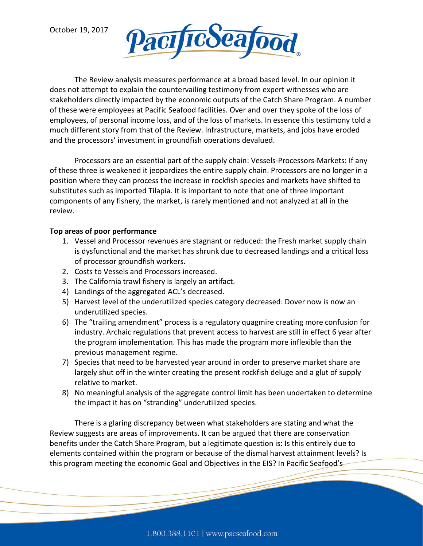

The Review analysis measures performance at a broad based level. In our opinion it does not attempt to explain the countervailing testimony from expert witnesses who are stakeholders directly impacted by the economic outputs of the Catch Share Program. A number of these were employees at Pacific Seafood facilities. Over and over they spoke of the loss of employees, of personal income loss, and of the loss of markets. In essence this testimony told a much different story from that of the Review. Infrastructure, markets, and jobs have eroded and the processors' investment in groundfish operations devalued.

Processors are an essential part of the supply chain: Vessels-Processors-Markets: If any of these three is weakened it jeopardizes the entire supply chain. Processors are no longer in a position where they can process the increase in rockfish species and markets have shifted to substitutes such as imported Tilapia. It is important to note that one of three important components of any fishery, the market, is rarely mentioned and not analyzed at all in the review.

## **Top areas of poor performance**

- 1. Vessel and Processor revenues are stagnant or reduced: the Fresh market supply chain is dysfunctional and the market has shrunk due to decreased landings and a critical loss of processor groundfish workers.
- 2. Costs to Vessels and Processors increased.
- 3. The California trawl fishery is largely an artifact.
- 4) Landings of the aggregated ACL's decreased.
- 5) Harvest level of the underutilized species category decreased: Dover now is now an underutilized species.
- 6) The "trailing amendment" process is a regulatory quagmire creating more confusion for industry. Archaic regulations that prevent access to harvest are still in effect 6 year after the program implementation. This has made the program more inflexible than the previous management regime.
- 7) Species that need to be harvested year around in order to preserve market share are largely shut off in the winter creating the present rockfish deluge and a glut of supply relative to market.
- 8) No meaningful analysis of the aggregate control limit has been undertaken to determine the impact it has on "stranding" underutilized species.

There is a glaring discrepancy between what stakeholders are stating and what the Review suggests are areas of improvements. It can be argued that there are conservation benefits under the Catch Share Program, but a legitimate question is: Is this entirely due to elements contained within the program or because of the dismal harvest attainment levels? Is this program meeting the economic Goal and Objectives in the EIS? In Pacific Seafood's-